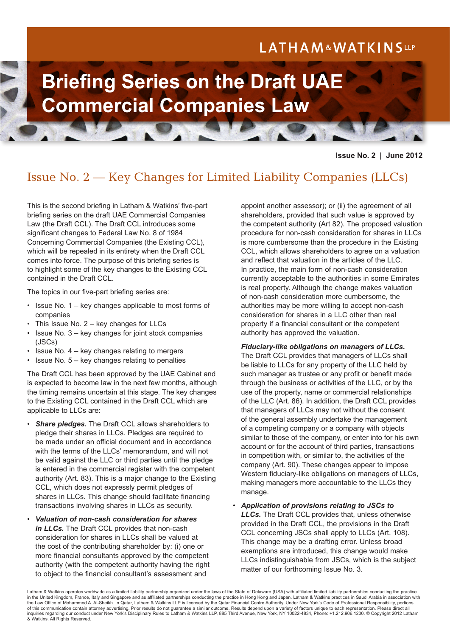# LATHAM&WATKINSLLP



### **Issue No. 2 | June 2012**

## Issue No. 2 — Key Changes for Limited Liability Companies (LLCs)

This is the second briefing in Latham & Watkins' five-part briefing series on the draft UAE Commercial Companies Law (the Draft CCL). The Draft CCL introduces some significant changes to Federal Law No. 8 of 1984 Concerning Commercial Companies (the Existing CCL), which will be repealed in its entirety when the Draft CCL comes into force. The purpose of this briefing series is to highlight some of the key changes to the Existing CCL contained in the Draft CCL.

The topics in our five-part briefing series are:

- Issue No. 1 key changes applicable to most forms of companies
- This Issue No.  $2 \text{key}$  changes for LLCs
- Issue No.  $3 -$  key changes for joint stock companies (JSCs)
- Issue No.  $4 \text{key}$  changes relating to mergers
- Issue No.  $5 \text{key}$  changes relating to penalties

The Draft CCL has been approved by the UAE Cabinet and is expected to become law in the next few months, although the timing remains uncertain at this stage. The key changes to the Existing CCL contained in the Draft CCL which are applicable to LLCs are:

- *Share pledges.* The Draft CCL allows shareholders to pledge their shares in LLCs. Pledges are required to be made under an official document and in accordance with the terms of the LLCs' memorandum, and will not be valid against the LLC or third parties until the pledge is entered in the commercial register with the competent authority (Art. 83). This is a major change to the Existing CCL, which does not expressly permit pledges of shares in LLCs. This change should facilitate financing transactions involving shares in LLCs as security.
- *Valuation of non-cash consideration for shares in LLCs.* The Draft CCL provides that non-cash consideration for shares in LLCs shall be valued at the cost of the contributing shareholder by: (i) one or more financial consultants approved by the competent authority (with the competent authority having the right to object to the financial consultant's assessment and

appoint another assessor); or (ii) the agreement of all shareholders, provided that such value is approved by the competent authority (Art 82). The proposed valuation procedure for non-cash consideration for shares in LLCs is more cumbersome than the procedure in the Existing CCL, which allows shareholders to agree on a valuation and reflect that valuation in the articles of the LLC. In practice, the main form of non-cash consideration currently acceptable to the authorities in some Emirates is real property. Although the change makes valuation of non-cash consideration more cumbersome, the authorities may be more willing to accept non-cash consideration for shares in a LLC other than real property if a financial consultant or the competent authority has approved the valuation.

#### *Fiduciary-like obligations on managers of LLCs.*

The Draft CCL provides that managers of LLCs shall be liable to LLCs for any property of the LLC held by such manager as trustee or any profit or benefit made through the business or activities of the LLC, or by the use of the property, name or commercial relationships of the LLC (Art. 86). In addition, the Draft CCL provides that managers of LLCs may not without the consent of the general assembly undertake the management of a competing company or a company with objects similar to those of the company, or enter into for his own account or for the account of third parties, transactions in competition with, or similar to, the activities of the company (Art. 90). These changes appear to impose Western fiduciary-like obligations on managers of LLCs, making managers more accountable to the LLCs they manage.

• *Application of provisions relating to JSCs to LLCs.* The Draft CCL provides that, unless otherwise provided in the Draft CCL, the provisions in the Draft CCL concerning JSCs shall apply to LLCs (Art. 108). This change may be a drafting error. Unless broad exemptions are introduced, this change would make LLCs indistinguishable from JSCs, which is the subject matter of our forthcoming Issue No. 3.

Latham & Watkins operates worldwide as a limited liability partnership organized under the laws of the State of Delaware (USA) with affiliated limited liability partnerships conducting the practice in the United Kingdom, France, Italy and Singapore and as affiliated partnerships conducting the practice in Hong Kong and Japan. Latham & Watkins practices in Saudi Arabia in association with the Law Office of Mohammed A. Al-Sheikh. In Qatar, Latham & Watkins LLP is licensed by the Qatar Financial Centre Authority. Under New York's Code of Professional Responsibility, portions of this communication contain attorney advertising. Prior results do not guarantee a similar outcome. Results depend upon a variety of factors unique to each representation. Please direct all inquiries regarding our conduct under New York's Disciplinary Rules to Latham & Watkins LLP, 885 Third Avenue, New York, NY 10022-4834, Phone: +1.212.906.1200. © Copyright 2012 Latham & Watkins. All Rights Reserved.